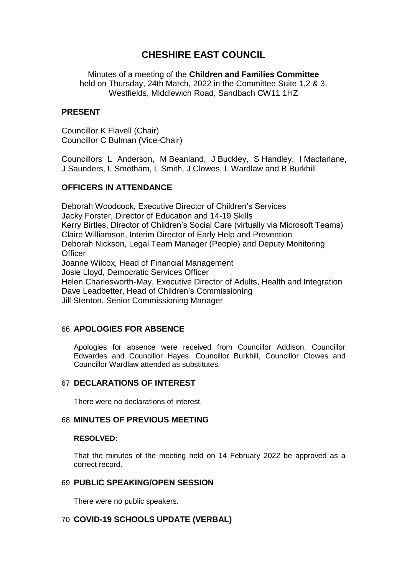# **CHESHIRE EAST COUNCIL**

Minutes of a meeting of the **Children and Families Committee** held on Thursday, 24th March, 2022 in the Committee Suite 1,2 & 3, Westfields, Middlewich Road, Sandbach CW11 1HZ

## **PRESENT**

Councillor K Flavell (Chair) Councillor C Bulman (Vice-Chair)

Councillors L Anderson, M Beanland, J Buckley, S Handley, I Macfarlane, J Saunders, L Smetham, L Smith, J Clowes, L Wardlaw and B Burkhill

# **OFFICERS IN ATTENDANCE**

Deborah Woodcock, Executive Director of Children's Services Jacky Forster, Director of Education and 14-19 Skills Kerry Birtles, Director of Children's Social Care (virtually via Microsoft Teams) Claire Williamson, Interim Director of Early Help and Prevention Deborah Nickson, Legal Team Manager (People) and Deputy Monitoring **Officer** Joanne Wilcox, Head of Financial Management Josie Lloyd, Democratic Services Officer Helen Charlesworth-May, Executive Director of Adults, Health and Integration Dave Leadbetter, Head of Children's Commissioning Jill Stenton, Senior Commissioning Manager

## 66 **APOLOGIES FOR ABSENCE**

Apologies for absence were received from Councillor Addison, Councillor Edwardes and Councillor Hayes. Councillor Burkhill, Councillor Clowes and Councillor Wardlaw attended as substitutes.

## 67 **DECLARATIONS OF INTEREST**

There were no declarations of interest.

## 68 **MINUTES OF PREVIOUS MEETING**

#### **RESOLVED:**

That the minutes of the meeting held on 14 February 2022 be approved as a correct record.

## 69 **PUBLIC SPEAKING/OPEN SESSION**

There were no public speakers.

# 70 **COVID-19 SCHOOLS UPDATE (VERBAL)**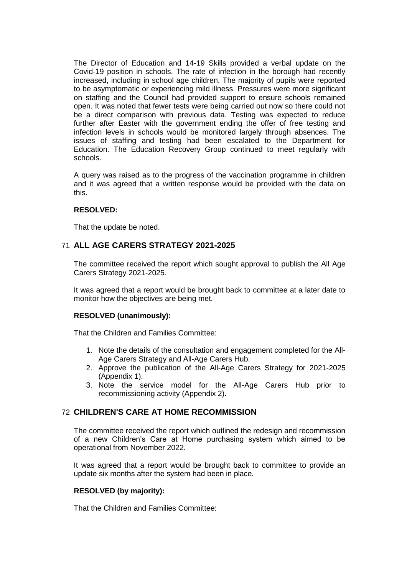The Director of Education and 14-19 Skills provided a verbal update on the Covid-19 position in schools. The rate of infection in the borough had recently increased, including in school age children. The majority of pupils were reported to be asymptomatic or experiencing mild illness. Pressures were more significant on staffing and the Council had provided support to ensure schools remained open. It was noted that fewer tests were being carried out now so there could not be a direct comparison with previous data. Testing was expected to reduce further after Easter with the government ending the offer of free testing and infection levels in schools would be monitored largely through absences. The issues of staffing and testing had been escalated to the Department for Education. The Education Recovery Group continued to meet regularly with schools.

A query was raised as to the progress of the vaccination programme in children and it was agreed that a written response would be provided with the data on this.

## **RESOLVED:**

That the update be noted.

## 71 **ALL AGE CARERS STRATEGY 2021-2025**

The committee received the report which sought approval to publish the All Age Carers Strategy 2021-2025.

It was agreed that a report would be brought back to committee at a later date to monitor how the objectives are being met.

#### **RESOLVED (unanimously):**

That the Children and Families Committee:

- 1. Note the details of the consultation and engagement completed for the All-Age Carers Strategy and All-Age Carers Hub.
- 2. Approve the publication of the All-Age Carers Strategy for 2021-2025 (Appendix 1).
- 3. Note the service model for the All-Age Carers Hub prior to recommissioning activity (Appendix 2).

## 72 **CHILDREN'S CARE AT HOME RECOMMISSION**

The committee received the report which outlined the redesign and recommission of a new Children's Care at Home purchasing system which aimed to be operational from November 2022.

It was agreed that a report would be brought back to committee to provide an update six months after the system had been in place.

#### **RESOLVED (by majority):**

That the Children and Families Committee: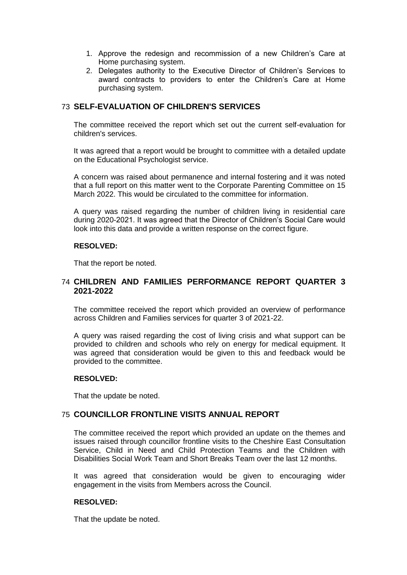- 1. Approve the redesign and recommission of a new Children's Care at Home purchasing system.
- 2. Delegates authority to the Executive Director of Children's Services to award contracts to providers to enter the Children's Care at Home purchasing system.

# 73 **SELF-EVALUATION OF CHILDREN'S SERVICES**

The committee received the report which set out the current self-evaluation for children's services.

It was agreed that a report would be brought to committee with a detailed update on the Educational Psychologist service.

A concern was raised about permanence and internal fostering and it was noted that a full report on this matter went to the Corporate Parenting Committee on 15 March 2022. This would be circulated to the committee for information.

A query was raised regarding the number of children living in residential care during 2020-2021. It was agreed that the Director of Children's Social Care would look into this data and provide a written response on the correct figure.

#### **RESOLVED:**

That the report be noted.

## 74 **CHILDREN AND FAMILIES PERFORMANCE REPORT QUARTER 3 2021-2022**

The committee received the report which provided an overview of performance across Children and Families services for quarter 3 of 2021-22.

A query was raised regarding the cost of living crisis and what support can be provided to children and schools who rely on energy for medical equipment. It was agreed that consideration would be given to this and feedback would be provided to the committee.

#### **RESOLVED:**

That the update be noted.

# 75 **COUNCILLOR FRONTLINE VISITS ANNUAL REPORT**

The committee received the report which provided an update on the themes and issues raised through councillor frontline visits to the Cheshire East Consultation Service, Child in Need and Child Protection Teams and the Children with Disabilities Social Work Team and Short Breaks Team over the last 12 months.

It was agreed that consideration would be given to encouraging wider engagement in the visits from Members across the Council.

## **RESOLVED:**

That the update be noted.